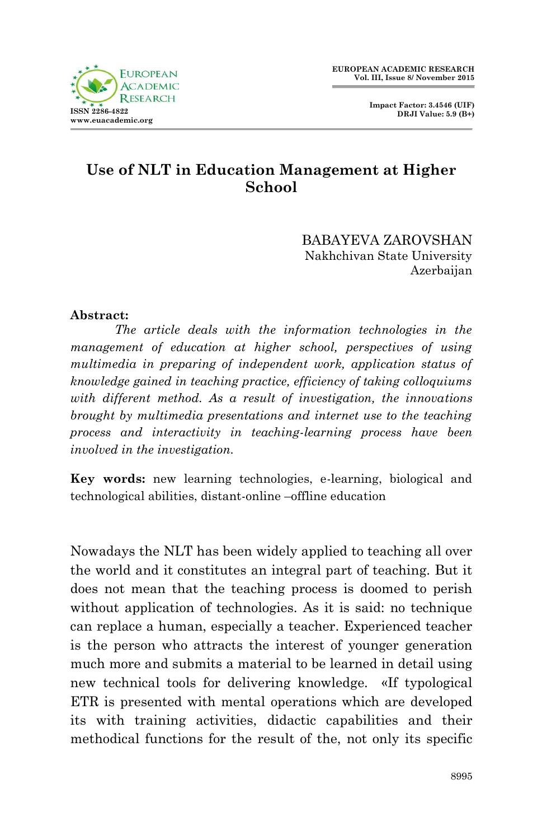

 **Impact Factor: 3.4546 (UIF) DRJI Value: 5.9 (B+)**

## **Use of NLT in Education Management at Higher School**

BABAYEVA ZAROVSHAN Nakhchivan State University Azerbaijan

## **Abstract:**

*The article deals with the information technologies in the management of education at higher school, perspectives of using multimedia in preparing of independent work, application status of knowledge gained in teaching practice, efficiency of taking colloquiums with different method. As a result of investigation, the innovations brought by multimedia presentations and internet use to the teaching process and interactivity in teaching-learning process have been involved in the investigation.*

**Key words:** new learning technologies, e-learning, biological and technological abilities, distant-online –offline education

Nowadays the NLT has been widely applied to teaching all over the world and it constitutes an integral part of teaching. But it does not mean that the teaching process is doomed to perish without application of technologies. As it is said: no technique can replace a human, especially a teacher. Experienced teacher is the person who attracts the interest of younger generation much more and submits a material to be learned in detail using new technical tools for delivering knowledge. «If typological ETR is presented with mental operations which are developed its with training activities, didactic capabilities and their methodical functions for the result of the, not only its specific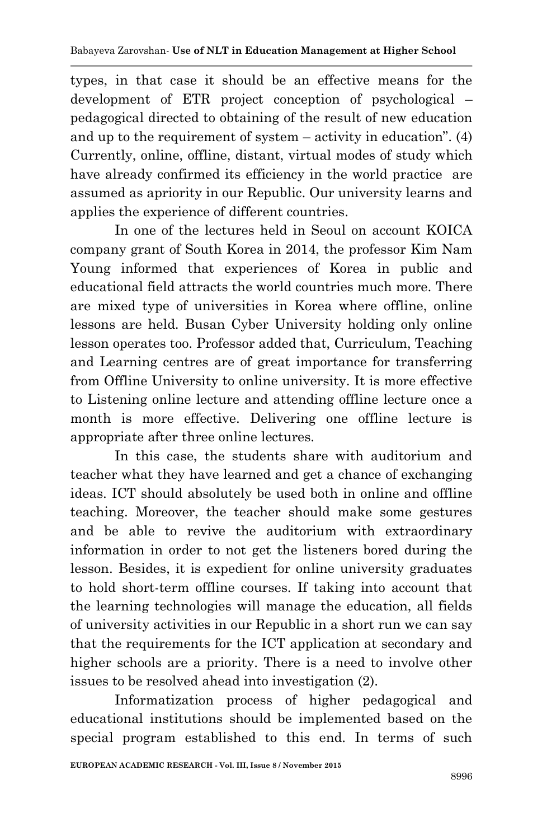types, in that case it should be an effective means for the development of ETR project conception of psychological – pedagogical directed to obtaining of the result of new education and up to the requirement of system – activity in education". (4) Currently, online, offline, distant, virtual modes of study which have already confirmed its efficiency in the world practice are assumed as apriority in our Republic. Our university learns and applies the experience of different countries.

In one of the lectures held in Seoul on account KOICA company grant of South Korea in 2014, the professor Kim Nam Young informed that experiences of Korea in public and educational field attracts the world countries much more. There are mixed type of universities in Korea where offline, online lessons are held. Busan Cyber University holding only online lesson operates too. Professor added that, Curriculum, Teaching and Learning centres are of great importance for transferring from Offline University to online university. It is more effective to Listening online lecture and attending offline lecture once a month is more effective. Delivering one offline lecture is appropriate after three online lectures.

In this case, the students share with auditorium and teacher what they have learned and get a chance of exchanging ideas. ICT should absolutely be used both in online and offline teaching. Moreover, the teacher should make some gestures and be able to revive the auditorium with extraordinary information in order to not get the listeners bored during the lesson. Besides, it is expedient for online university graduates to hold short-term offline courses. If taking into account that the learning technologies will manage the education, all fields of university activities in our Republic in a short run we can say that the requirements for the ICT application at secondary and higher schools are a priority. There is a need to involve other issues to be resolved ahead into investigation (2).

Informatization process of higher pedagogical and educational institutions should be implemented based on the special program established to this end. In terms of such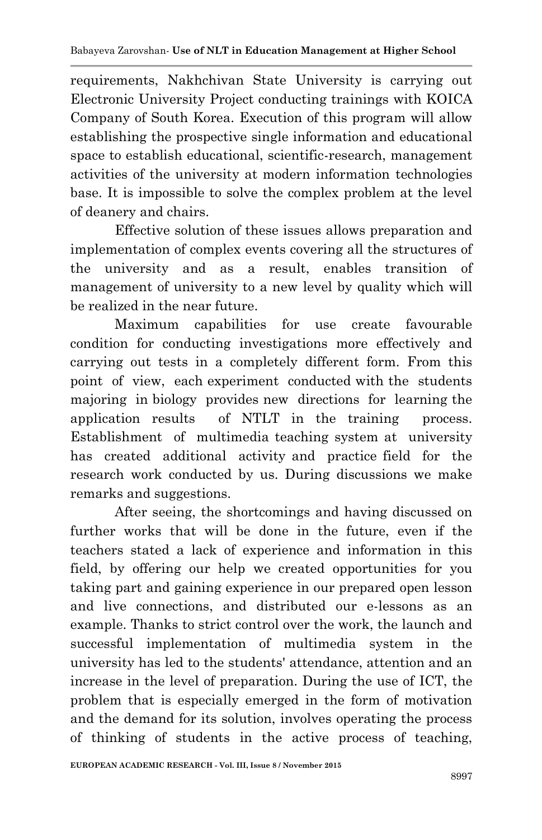requirements, Nakhchivan State University is carrying out Electronic University Project conducting trainings with KOICA Company of South Korea. Execution of this program will allow establishing the prospective single information and educational space to establish educational, scientific-research, management activities of the university at modern information technologies base. It is impossible to solve the complex problem at the level of deanery and chairs.

Effective solution of these issues allows preparation and implementation of complex events covering all the structures of the university and as a result, enables transition of management of university to a new level by quality which will be realized in the near future.

Maximum capabilities for use create favourable condition for conducting investigations more effectively and carrying out tests in a completely different form. From this point of view, each experiment conducted with the students majoring in biology provides new directions for learning the application results of NTLT in the training process. Establishment of multimedia teaching system at university has created additional activity and practice field for the research work conducted by us. During discussions we make remarks and suggestions.

After seeing, the shortcomings and having discussed on further works that will be done in the future, even if the teachers stated a lack of experience and information in this field, by offering our help we created opportunities for you taking part and gaining experience in our prepared open lesson and live connections, and distributed our e-lessons as an example. Thanks to strict control over the work, the launch and successful implementation of multimedia system in the university has led to the students' attendance, attention and an increase in the level of preparation. During the use of ICT, the problem that is especially emerged in the form of motivation and the demand for its solution, involves operating the process of thinking of students in the active process of teaching,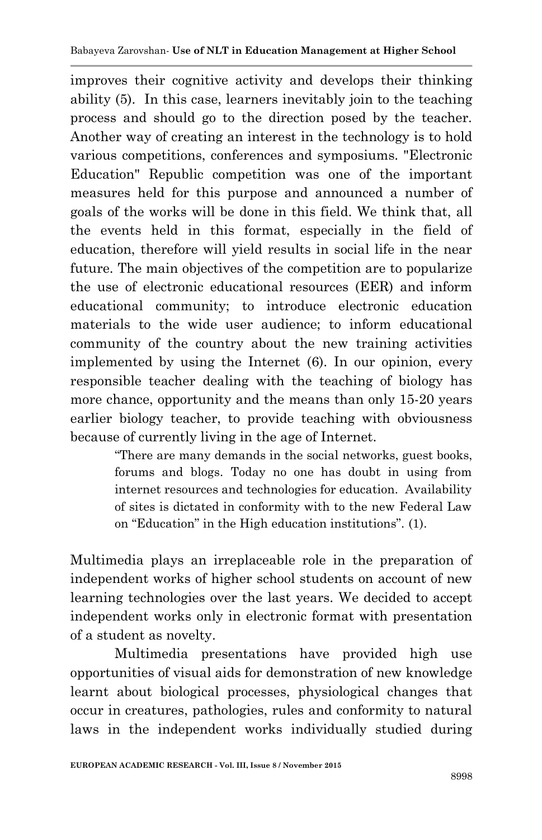improves their cognitive activity and develops their thinking ability (5). In this case, learners inevitably join to the teaching process and should go to the direction posed by the teacher. Another way of creating an interest in the technology is to hold various competitions, conferences and symposiums. "Electronic Education" Republic competition was one of the important measures held for this purpose and announced a number of goals of the works will be done in this field. We think that, all the events held in this format, especially in the field of education, therefore will yield results in social life in the near future. The main objectives of the competition are to popularize the use of electronic educational resources (EER) and inform educational community; to introduce electronic education materials to the wide user audience; to inform educational community of the country about the new training activities implemented by using the Internet (6). In our opinion, every responsible teacher dealing with the teaching of biology has more chance, opportunity and the means than only 15-20 years earlier biology teacher, to provide teaching with obviousness because of currently living in the age of Internet.

> "There are many demands in the social networks, guest books, forums and blogs. Today no one has doubt in using from internet resources and technologies for education. Availability of sites is dictated in conformity with to the new Federal Law on "Education" in the High education institutions". (1).

Multimedia plays an irreplaceable role in the preparation of independent works of higher school students on account of new learning technologies over the last years. We decided to accept independent works only in electronic format with presentation of a student as novelty.

Multimedia presentations have provided high use opportunities of visual aids for demonstration of new knowledge learnt about biological processes, physiological changes that occur in creatures, pathologies, rules and conformity to natural laws in the independent works individually studied during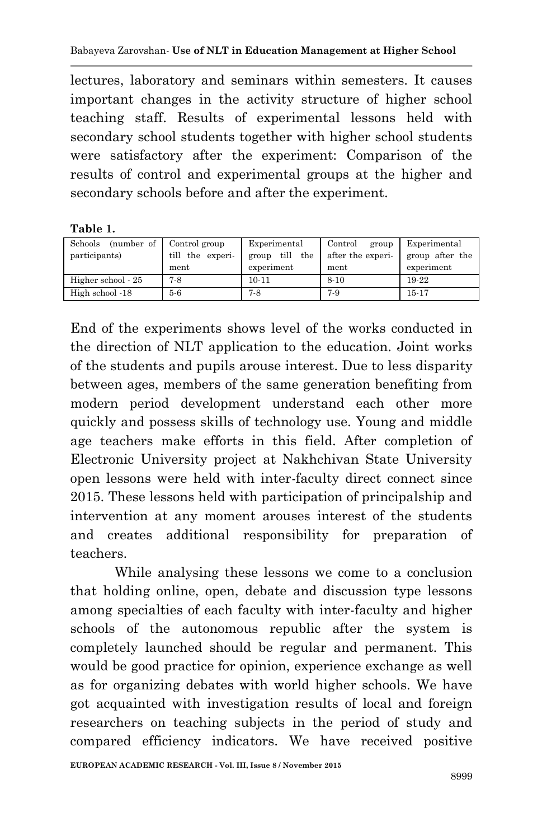lectures, laboratory and seminars within semesters. It causes important changes in the activity structure of higher school teaching staff. Results of experimental lessons held with secondary school students together with higher school students were satisfactory after the experiment: Comparison of the results of control and experimental groups at the higher and secondary schools before and after the experiment.

**Table 1.**

| Schools<br>(number of | Control group    | Experimental         | Control<br>group  | Experimental    |
|-----------------------|------------------|----------------------|-------------------|-----------------|
| participants)         | till the experi- | till<br>the<br>group | after the experi- | group after the |
|                       | ment             | experiment           | ment              | experiment      |
| Higher school - 25    | 7-8              | $10 - 11$            | $8 - 10$          | 19-22           |
| High school -18       | 5-6              | $7-8$                | 7-9               | $15 - 17$       |

End of the experiments shows level of the works conducted in the direction of NLT application to the education. Joint works of the students and pupils arouse interest. Due to less disparity between ages, members of the same generation benefiting from modern period development understand each other more quickly and possess skills of technology use. Young and middle age teachers make efforts in this field. After completion of Electronic University project at Nakhchivan State University open lessons were held with inter-faculty direct connect since 2015. These lessons held with participation of principalship and intervention at any moment arouses interest of the students and creates additional responsibility for preparation of teachers.

While analysing these lessons we come to a conclusion that holding online, open, debate and discussion type lessons among specialties of each faculty with inter-faculty and higher schools of the autonomous republic after the system is completely launched should be regular and permanent. This would be good practice for opinion, experience exchange as well as for organizing debates with world higher schools. We have got acquainted with investigation results of local and foreign researchers on teaching subjects in the period of study and compared efficiency indicators. We have received positive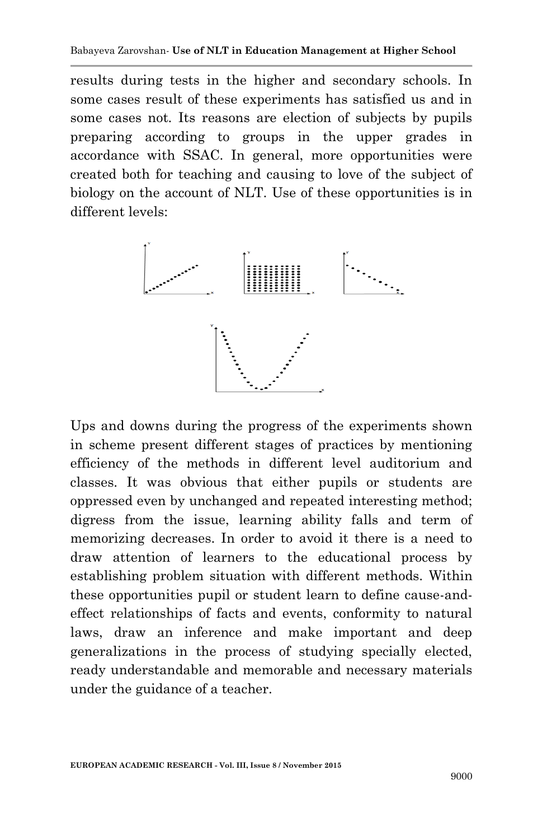results during tests in the higher and secondary schools. In some cases result of these experiments has satisfied us and in some cases not. Its reasons are election of subjects by pupils preparing according to groups in the upper grades in accordance with SSAC. In general, more opportunities were created both for teaching and causing to love of the subject of biology on the account of NLT. Use of these opportunities is in different levels:



Ups and downs during the progress of the experiments shown in scheme present different stages of practices by mentioning efficiency of the methods in different level auditorium and classes. It was obvious that either pupils or students are oppressed even by unchanged and repeated interesting method; digress from the issue, learning ability falls and term of memorizing decreases. In order to avoid it there is a need to draw attention of learners to the educational process by establishing problem situation with different methods. Within these opportunities pupil or student learn to define cause-andeffect relationships of facts and events, conformity to natural laws, draw an inference and make important and deep generalizations in the process of studying specially elected, ready understandable and memorable and necessary materials under the guidance of a teacher.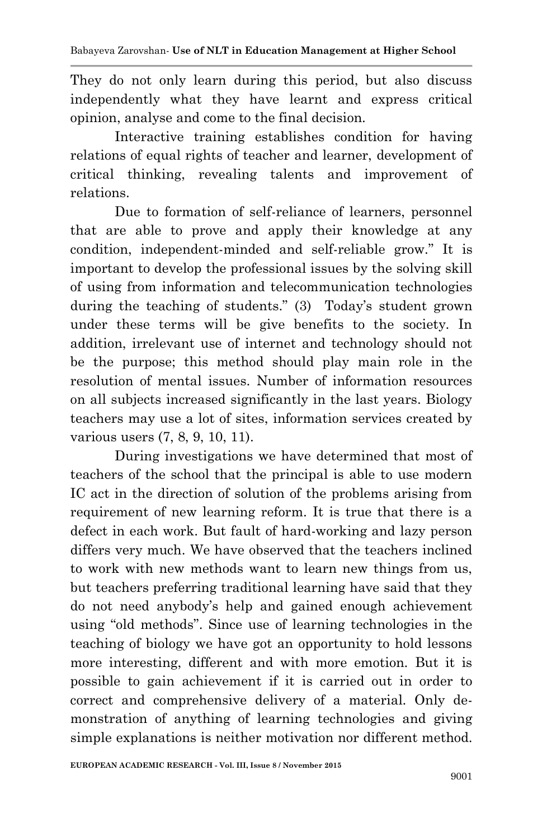They do not only learn during this period, but also discuss independently what they have learnt and express critical opinion, analyse and come to the final decision.

Interactive training establishes condition for having relations of equal rights of teacher and learner, development of critical thinking, revealing talents and improvement of relations.

Due to formation of self-reliance of learners, personnel that are able to prove and apply their knowledge at any condition, independent-minded and self-reliable grow." It is important to develop the professional issues by the solving skill of using from information and telecommunication technologies during the teaching of students." (3) Today's student grown under these terms will be give benefits to the society. In addition, irrelevant use of internet and technology should not be the purpose; this method should play main role in the resolution of mental issues. Number of information resources on all subjects increased significantly in the last years. Biology teachers may use a lot of sites, information services created by various users (7, 8, 9, 10, 11).

During investigations we have determined that most of teachers of the school that the principal is able to use modern IC act in the direction of solution of the problems arising from requirement of new learning reform. It is true that there is a defect in each work. But fault of hard-working and lazy person differs very much. We have observed that the teachers inclined to work with new methods want to learn new things from us, but teachers preferring traditional learning have said that they do not need anybody's help and gained enough achievement using "old methods". Since use of learning technologies in the teaching of biology we have got an opportunity to hold lessons more interesting, different and with more emotion. But it is possible to gain achievement if it is carried out in order to correct and comprehensive delivery of a material. Only demonstration of anything of learning technologies and giving simple explanations is neither motivation nor different method.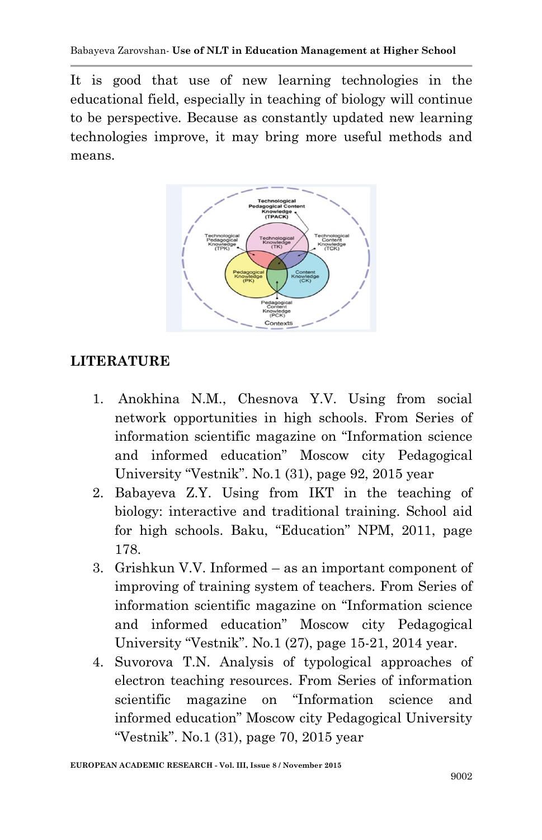It is good that use of new learning technologies in the educational field, especially in teaching of biology will continue to be perspective. Because as constantly updated new learning technologies improve, it may bring more useful methods and means.



## **LITERATURE**

- 1. Anokhina N.M., Chesnova Y.V. Using from social network opportunities in high schools. From Series of information scientific magazine on "Information science and informed education" Moscow city Pedagogical University "Vestnik". No.1 (31), page 92, 2015 year
- 2. Babayeva Z.Y. Using from IKT in the teaching of biology: interactive and traditional training. School aid for high schools. Baku, "Education" NPM, 2011, page 178.
- 3. Grishkun V.V. Informed as an important component of improving of training system of teachers. From Series of information scientific magazine on "Information science and informed education" Moscow city Pedagogical University "Vestnik". No.1 (27), page 15-21, 2014 year.
- 4. Suvorova T.N. Analysis of typological approaches of electron teaching resources. From Series of information scientific magazine on "Information science and informed education" Moscow city Pedagogical University "Vestnik". No.1 (31), page 70, 2015 year